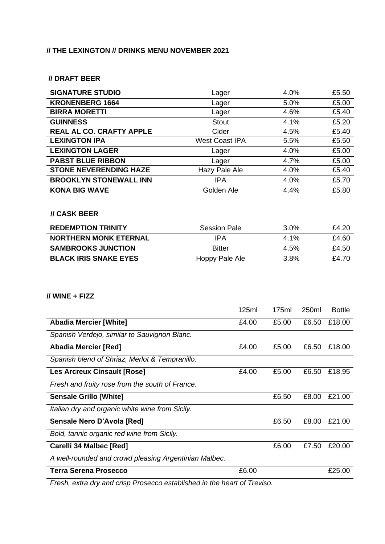## **// THE LEXINGTON // DRINKS MENU NOVEMBER 2021**

### **// DRAFT BEER**

| <b>SIGNATURE STUDIO</b>                               | Lager                 | 4.0%  |       | £5.50         |
|-------------------------------------------------------|-----------------------|-------|-------|---------------|
| <b>KRONENBERG 1664</b>                                | Lager                 | 5.0%  |       | £5.00         |
| <b>BIRRA MORETTI</b>                                  | Lager                 | 4.6%  |       | £5.40         |
| <b>GUINNESS</b>                                       | <b>Stout</b>          | 4.1%  |       | £5.20         |
| REAL AL CO. CRAFTY APPLE                              | Cider                 | 4.5%  |       | £5.40         |
| <b>LEXINGTON IPA</b>                                  | <b>West Coast IPA</b> | 5.5%  |       | £5.50         |
| <b>LEXINGTON LAGER</b>                                | Lager                 | 4.0%  |       | £5.00         |
| <b>PABST BLUE RIBBON</b>                              | Lager                 | 4.7%  |       | £5.00         |
| <b>STONE NEVERENDING HAZE</b>                         | Hazy Pale Ale         | 4.0%  |       | £5.40         |
| <b>BROOKLYN STONEWALL INN</b>                         | <b>IPA</b>            | 4.0%  |       | £5.70         |
| <b>KONA BIG WAVE</b><br><b>// CASK BEER</b>           | Golden Ale            | 4.4%  |       | £5.80         |
| <b>REDEMPTION TRINITY</b>                             | <b>Session Pale</b>   | 3.0%  |       | £4.20         |
| <b>NORTHERN MONK ETERNAL</b>                          | <b>IPA</b>            | 4.1%  |       | £4.60         |
| <b>SAMBROOKS JUNCTION</b>                             | <b>Bitter</b>         | 4.5%  |       | £4.50         |
|                                                       | Hoppy Pale Ale        | 3.8%  |       | £4.70         |
| <b>BLACK IRIS SNAKE EYES</b>                          |                       |       |       |               |
| // WINE + FIZZ                                        | 125ml                 | 175ml | 250ml | <b>Bottle</b> |
| <b>Abadia Mercier [White]</b>                         | £4.00                 | £5.00 | £6.50 | £18.00        |
| Spanish Verdejo, similar to Sauvignon Blanc.          |                       |       |       |               |
| <b>Abadia Mercier [Red]</b>                           | £4.00                 | £5.00 | £6.50 | £18.00        |
| Spanish blend of Shriaz, Merlot & Tempranillo.        |                       |       |       |               |
| <b>Les Arcreux Cinsault [Rose]</b>                    | £4.00                 | £5.00 | £6.50 | £18.95        |
| Fresh and fruity rose from the south of France.       |                       |       |       |               |
| <b>Sensale Grillo [White]</b>                         |                       | £6.50 | £8.00 | £21.00        |
| Italian dry and organic white wine from Sicily.       |                       |       |       |               |
| Sensale Nero D'Avola [Red]                            |                       | £6.50 | £8.00 | £21.00        |
| Bold, tannic organic red wine from Sicily.            |                       |       |       |               |
| Carelli 34 Malbec [Red]                               |                       | £6.00 | £7.50 | £20.00        |
| A well-rounded and crowd pleasing Argentinian Malbec. |                       |       |       |               |

*Fresh, extra dry and crisp Prosecco established in the heart of Treviso.*